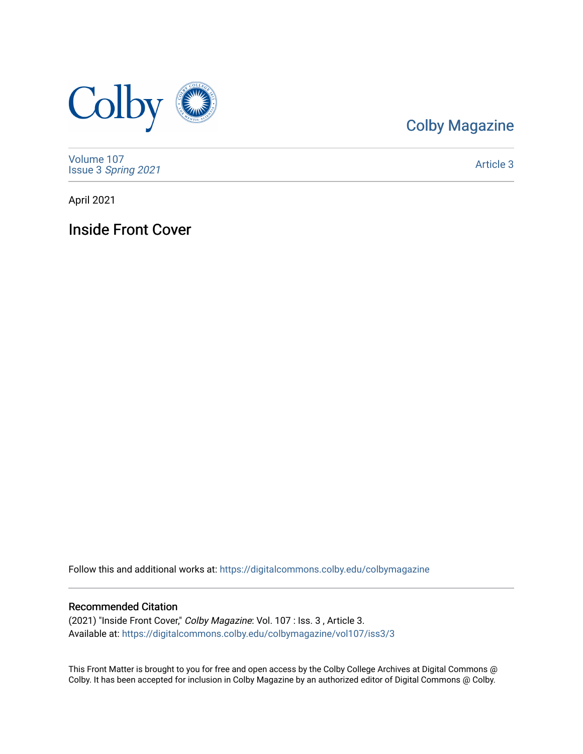

## [Colby Magazine](https://digitalcommons.colby.edu/colbymagazine)

[Volume 107](https://digitalcommons.colby.edu/colbymagazine/vol107) Issue 3 [Spring 2021](https://digitalcommons.colby.edu/colbymagazine/vol107/iss3) 

[Article 3](https://digitalcommons.colby.edu/colbymagazine/vol107/iss3/3) 

April 2021

Inside Front Cover

Follow this and additional works at: [https://digitalcommons.colby.edu/colbymagazine](https://digitalcommons.colby.edu/colbymagazine?utm_source=digitalcommons.colby.edu%2Fcolbymagazine%2Fvol107%2Fiss3%2F3&utm_medium=PDF&utm_campaign=PDFCoverPages)

## Recommended Citation

(2021) "Inside Front Cover," Colby Magazine: Vol. 107 : Iss. 3 , Article 3. Available at: [https://digitalcommons.colby.edu/colbymagazine/vol107/iss3/3](https://digitalcommons.colby.edu/colbymagazine/vol107/iss3/3?utm_source=digitalcommons.colby.edu%2Fcolbymagazine%2Fvol107%2Fiss3%2F3&utm_medium=PDF&utm_campaign=PDFCoverPages) 

This Front Matter is brought to you for free and open access by the Colby College Archives at Digital Commons @ Colby. It has been accepted for inclusion in Colby Magazine by an authorized editor of Digital Commons @ Colby.